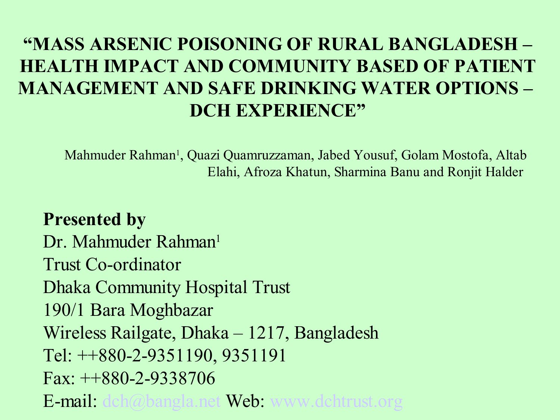#### **"MASS ARSENIC POISONING OF RURAL BANGLADESH – HEALTH IMPACT AND COMMUNITY BASED OF PATIENT MANAGEMENT AND SAFE DRINKING WATER OPTIONS – DCH EXPERIENCE"**

Mahmuder Rahman 1 , Quazi Quamruzzaman, Jabed Yousuf, Golam Mostofa, Altab Elahi, Afroza Khatun, Sharmina Banu and Ronjit Halder

**Presented by** Dr. Mahmuder Rahman<sup>1</sup> Trust Co-ordinator Dhaka Community Hospital Trust 190/1 Bara Moghbazar Wireless Railgate, Dhaka – 1217, Bangladesh Tel: ++880-2-9351190, 9351191 Fax: ++880-2-9338706 E-mail: dch@bangla.net Web: www.dchtrust.org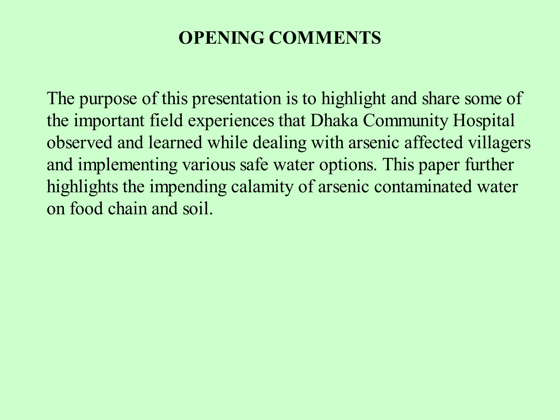#### **OPENING COMMENTS**

The purpose of this presentation is to highlight and share some of the important field experiences that Dhaka Community Hospital observed and learned while dealing with arsenic affected villagers and implementing various safe water options. This paper further highlights the impending calamity of arsenic contaminated water on food chain and soil.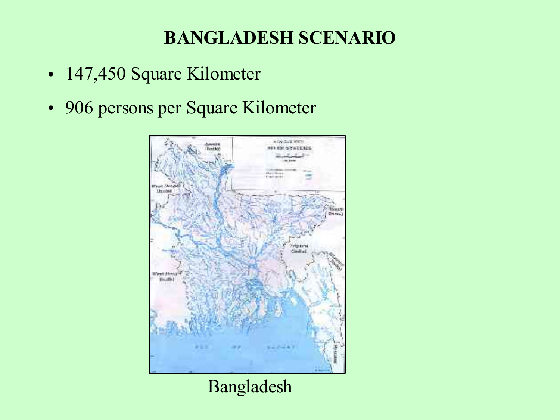### **BANGLADESH SCENARIO**

- 147,450 Square Kilometer
- 906 persons per Square Kilometer



#### Bangladesh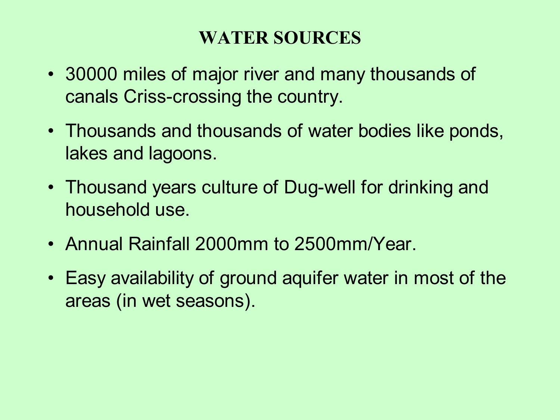#### **WATER SOURCES**

- 30000 miles of major river and many thousands of canals Criss-crossing the country.
- Thousands and thousands of water bodies like ponds, lakes and lagoons.
- Thousand years culture of Dug-well for drinking and household use.
- Annual Rainfall 2000mm to 2500mm/Year.
- Easy availability of ground aquifer water in most of the areas (in wet seasons).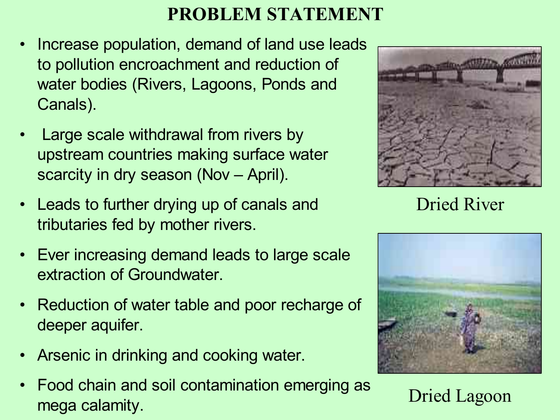#### **PROBLEM STATEMENT**

- Increase population, demand of land use leads to pollution encroachment and reduction of water bodies (Rivers, Lagoons, Ponds and Canals).
- Large scale withdrawal from rivers by upstream countries making surface water scarcity in dry season (Nov – April).
- Leads to further drying up of canals and tributaries fed by mother rivers.
- Ever increasing demand leads to large scale extraction of Groundwater.
- Reduction of water table and poor recharge of deeper aquifer.
- Arsenic in drinking and cooking water.
- Food chain and soil contamination emerging as mega calamity.



Dried River



Dried Lagoon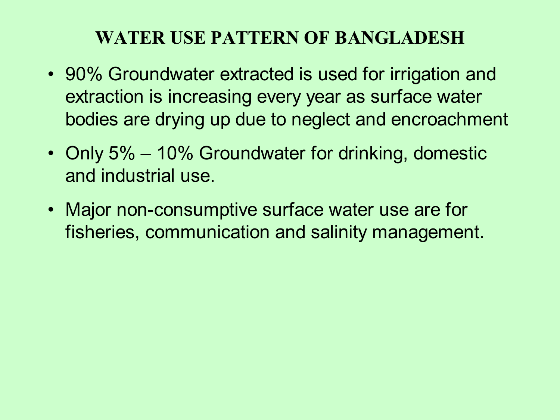#### **WATER USE PATTERN OF BANGLADESH**

- 90% Groundwater extracted is used for irrigation and extraction is increasing every year as surface water bodies are drying up due to neglect and encroachment
- Only 5% 10% Groundwater for drinking, domestic and industrial use.
- Major non-consumptive surface water use are for fisheries, communication and salinity management.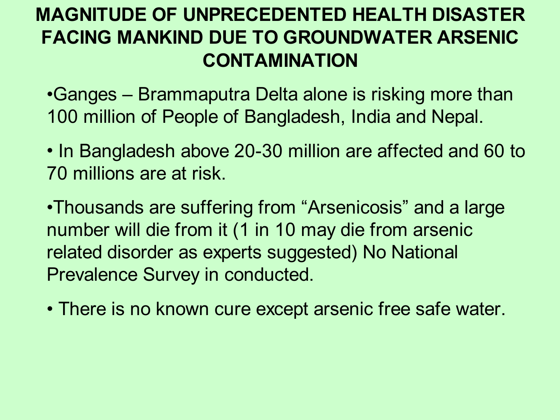# **MAGNITUDE OF UNPRECEDENTED HEALTH DISASTER FACING MANKIND DUE TO GROUNDWATER ARSENIC CONTAMINATION**

•Ganges – Brammaputra Delta alone is risking more than 100 million of People of Bangladesh, India and Nepal.

• In Bangladesh above 20-30 million are affected and 60 to 70 millions are at risk.

•Thousands are suffering from "Arsenicosis" and a large number will die from it (1 in 10 may die from arsenic related disorder as experts suggested) No National Prevalence Survey in conducted.

• There is no known cure except arsenic free safe water.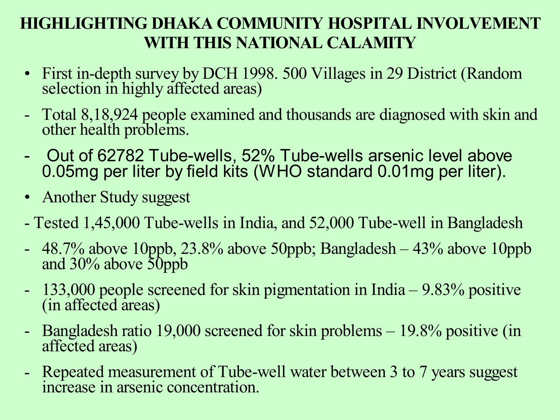#### **HIGHLIGHTING DHAKA COMMUNITY HOSPITAL INVOLVEMENT WITH THIS NATIONAL CALAMITY**

- First in-depth survey by DCH 1998. 500 Villages in 29 District (Random selection in highly affected areas)
- Total 8,18,924 people examined and thousands are diagnosed with skin and other health problems.
- Out of 62782 Tube-wells, 52% Tube-wells arsenic level above 0.05mg per liter by field kits (WHO standard 0.01mg per liter).
- Another Study suggest
- Tested 1,45,000 Tube-wells in India, and 52,000 Tube-well in Bangladesh
- 48.7% above 10ppb,  $23.8\%$  above 50ppb; Bangladesh  $-43\%$  above 10ppb and 30% above 50ppb
- 133,000 people screened for skin pigmentation in India 9.83% positive (in affected areas)
- Bangladesh ratio 19,000 screened for skin problems 19.8% positive (in affected areas)
- Repeated measurement of Tube-well water between 3 to 7 years suggest increase in arsenic concentration.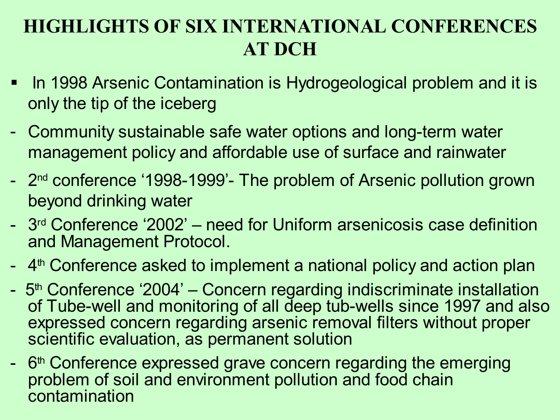## **HIGHLIGHTS OF SIX INTERNATIONAL CONFERENCES AT DCH**

- In 1998 Arsenic Contamination is Hydrogeological problem and it is only the tip of the iceberg
- Community sustainable safe water options and long-term water management policy and affordable use of surface and rainwater
- 2<sup>nd</sup> conference '1998-1999'- The problem of Arsenic pollution grown beyond drinking water
- 3<sup>rd</sup> Conference '2002' need for Uniform arsenicosis case definition and Management Protocol.
- 4<sup>th</sup> Conference asked to implement a national policy and action plan
- 5<sup>th</sup> Conference '2004' Concern regarding indiscriminate installation of Tube-well and monitoring of all deep tub-wells since 1997 and also expressed concern regarding arsenic removal filters without proper scientific evaluation, as permanent solution
- 6<sup>th</sup> Conference expressed grave concern regarding the emerging problem of soil and environment pollution and food chain contamination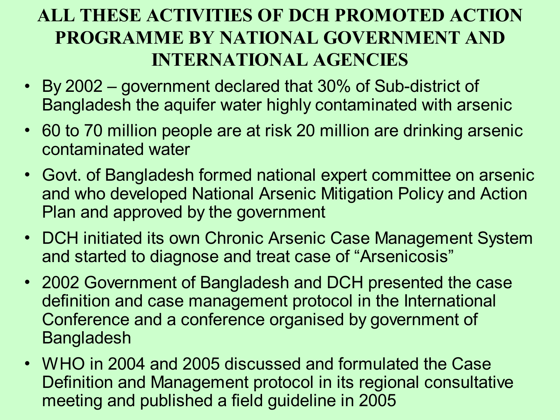### **ALL THESE ACTIVITIES OF DCH PROMOTED ACTION PROGRAMME BY NATIONAL GOVERNMENT AND INTERNATIONAL AGENCIES**

- By 2002 government declared that 30% of Sub-district of Bangladesh the aquifer water highly contaminated with arsenic
- 60 to 70 million people are at risk 20 million are drinking arsenic contaminated water
- Govt. of Bangladesh formed national expert committee on arsenic and who developed National Arsenic Mitigation Policy and Action Plan and approved by the government
- DCH initiated its own Chronic Arsenic Case Management System and started to diagnose and treat case of "Arsenicosis"
- 2002 Government of Bangladesh and DCH presented the case definition and case management protocol in the International Conference and a conference organised by government of Bangladesh
- WHO in 2004 and 2005 discussed and formulated the Case Definition and Management protocol in its regional consultative meeting and published a field guideline in 2005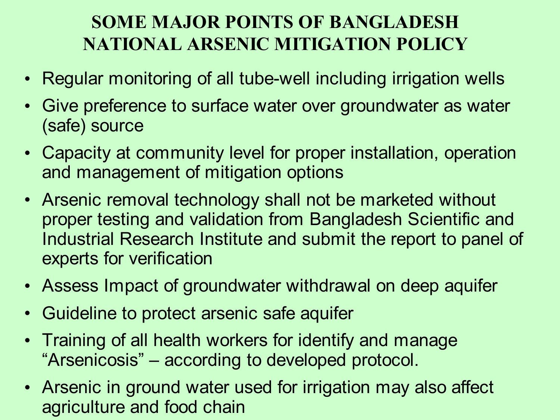## **SOME MAJOR POINTS OF BANGLADESH NATIONAL ARSENIC MITIGATION POLICY**

- Regular monitoring of all tube-well including irrigation wells
- Give preference to surface water over groundwater as water (safe) source
- Capacity at community level for proper installation, operation and management of mitigation options
- Arsenic removal technology shall not be marketed without proper testing and validation from Bangladesh Scientific and Industrial Research Institute and submit the report to panel of experts for verification
- Assess Impact of groundwater withdrawal on deep aquifer
- Guideline to protect arsenic safe aquifer
- Training of all health workers for identify and manage "Arsenicosis" – according to developed protocol.
- Arsenic in ground water used for irrigation may also affect agriculture and food chain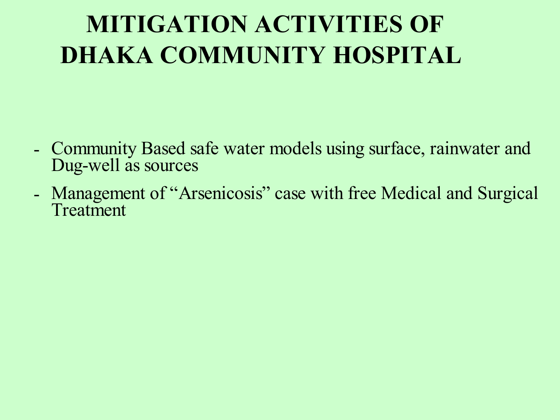# **MITIGATION ACTIVITIES OF DHAKA COMMUNITY HOSPITAL**

- Community Based safe water models using surface, rainwater and Dug-well as sources
- Management of "Arsenicosis" case with free Medical and Surgical Treatment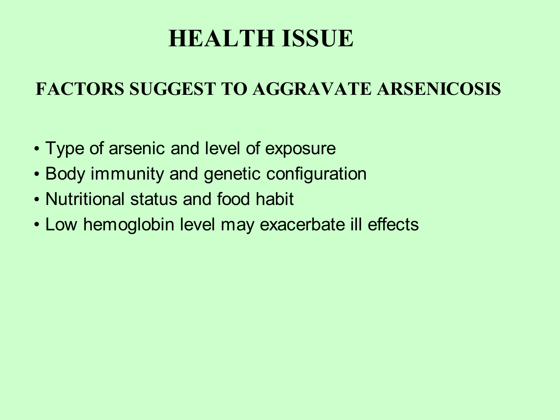# **HEALTH ISSUE**

#### **FACTORS SUGGEST TO AGGRAVATE ARSENICOSIS**

- Type of arsenic and level of exposure
- Body immunity and genetic configuration
- Nutritional status and food habit
- Low hemoglobin level may exacerbate ill effects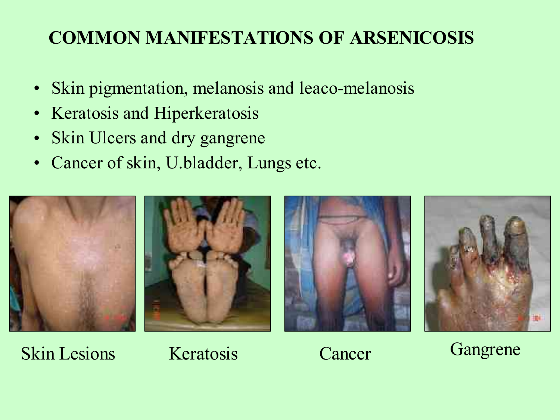## **COMMON MANIFESTATIONS OF ARSENICOSIS**

- Skin pigmentation, melanosis and leaco-melanosis
- Keratosis and Hiperkeratosis
- Skin Ulcers and dry gangrene
- Cancer of skin, U.bladder, Lungs etc.



Skin Lesions Keratosis Cancer Gangrene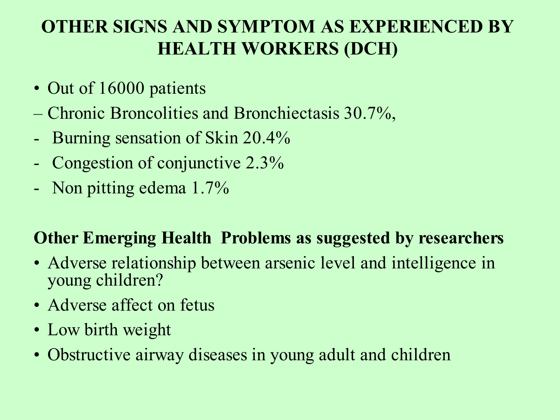### **OTHER SIGNS AND SYMPTOM AS EXPERIENCED BY HEALTH WORKERS (DCH)**

- Out of 16000 patients
- Chronic Broncolities and Bronchiectasis 30.7%,
- Burning sensation of Skin 20.4%
- Congestion of conjunctive 2.3%
- Non pitting edema 1.7%

#### **Other Emerging Health Problems as suggested by researchers**

- Adverse relationship between arsenic level and intelligence in young children?
- Adverse affect on fetus
- Low birth weight
- Obstructive airway diseases in young adult and children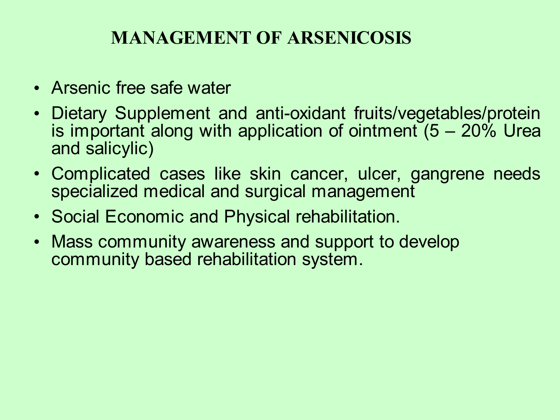#### **MANAGEMENT OF ARSENICOSIS**

- Arsenic free safe water
- Dietary Supplement and anti-oxidant fruits/vegetables/protein is important along with application of ointment  $(5 - 20\%$  Urea and salicylic)
- Complicated cases like skin cancer, ulcer, gangrene needs specialized medical and surgical management
- Social Economic and Physical rehabilitation.
- Mass community awareness and support to develop community based rehabilitation system.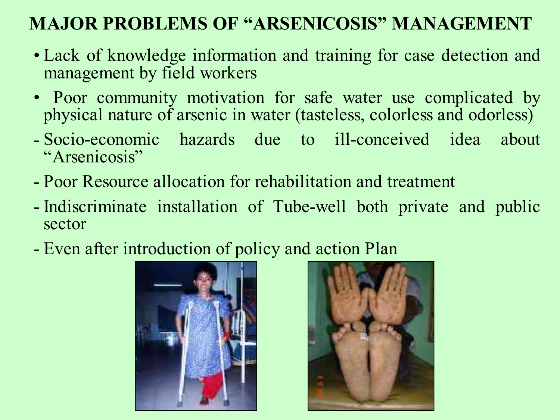#### **MAJOR PROBLEMS OF "ARSENICOSIS" MANAGEMENT**

- Lack of knowledge information and training for case detection and management by field workers
- Poor community motivation for safe water use complicated by physical nature of arsenic in water (tasteless, colorless and odorless)
- Socio-economic hazards due to ill-conceived idea about "Arsenicosis"
- Poor Resource allocation for rehabilitation and treatment
- Indiscriminate installation of Tube-well both private and public sector
- Even after introduction of policy and action Plan



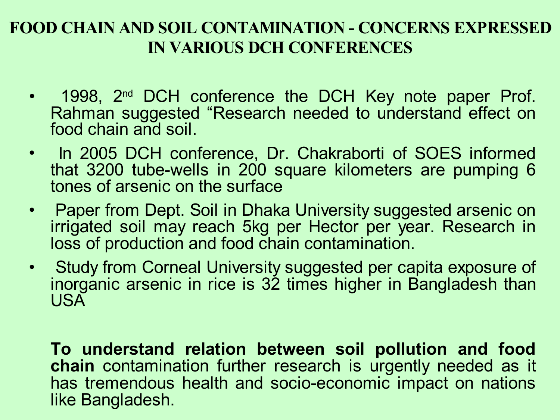#### **FOOD CHAIN AND SOIL CONTAMINATION - CONCERNS EXPRESSED IN VARIOUS DCH CONFERENCES**

- 1998, 2<sup>nd</sup> DCH conference the DCH Key note paper Prof. Rahman suggested "Research needed to understand effect on food chain and soil.
- In 2005 DCH conference, Dr. Chakraborti of SOES informed that 3200 tube-wells in 200 square kilometers are pumping 6 tones of arsenic on the surface
- Paper from Dept. Soil in Dhaka University suggested arsenic on irrigated soil may reach 5kg per Hector per year. Research in loss of production and food chain contamination.
- Study from Corneal University suggested per capita exposure of inorganic arsenic in rice is 32 times higher in Bangladesh than USA

**To understand relation between soil pollution and food chain** contamination further research is urgently needed as it has tremendous health and socio-economic impact on nations like Bangladesh.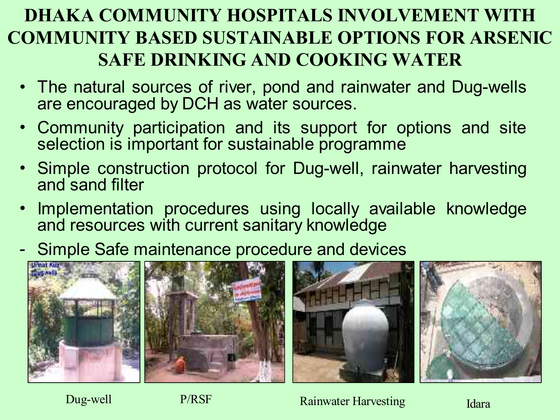# **DHAKA COMMUNITY HOSPITALS INVOLVEMENT WITH COMMUNITY BASED SUSTAINABLE OPTIONS FOR ARSENIC SAFE DRINKING AND COOKING WATER**

- The natural sources of river, pond and rainwater and Dug-wells are encouraged by DCH as water sources.
- Community participation and its support for options and site selection is important for sustainable programme
- Simple construction protocol for Dug-well, rainwater harvesting and sand filter
- Implementation procedures using locally available knowledge and resources with current sanitary knowledge
- Simple Safe maintenance procedure and devices



Dug-well P/RSF Rainwater Harvesting Idara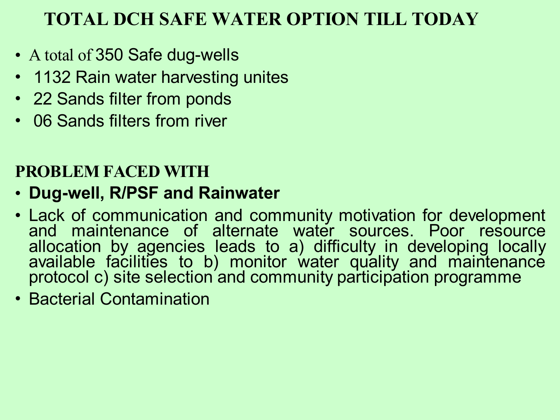#### **TOTAL DCH SAFE WATER OPTION TILL TODAY**

- A total of 350 Safe dug-wells
- 1132 Rain water harvesting unites
- 22 Sands filter from ponds
- 06 Sands filters from river

#### **PROBLEM FACED WITH**

#### • **Dug-well, R/PSF and Rainwater**

- Lack of communication and community motivation for development and maintenance of alternate water sources. Poor resource allocation by agencies leads to a) difficulty in developing locally available facilities to b) monitor water quality and maintenance protocol c) site selection and community participation programme
- Bacterial Contamination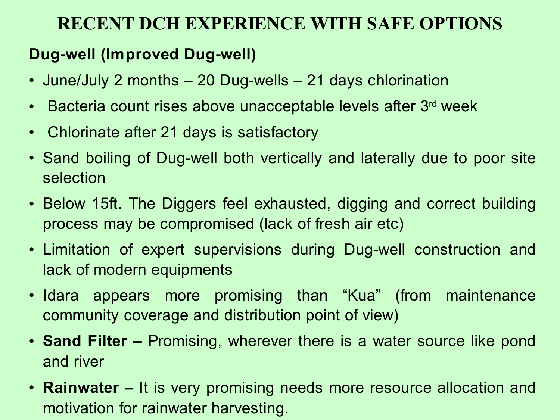#### **RECENT DCH EXPERIENCE WITH SAFE OPTIONS**

#### **Dug-well (Improved Dug-well)**

- June/July 2 months 20 Dug-wells 21 days chlorination
- Bacteria count rises above unacceptable levels after 3<sup>rd</sup> week
- Chlorinate after 21 days is satisfactory
- Sand boiling of Dug-well both vertically and laterally due to poor site selection
- Below 15ft. The Diggers feel exhausted, digging and correct building process may be compromised (lack of fresh air etc)
- Limitation of expert supervisions during Dug-well construction and lack of modern equipments
- Idara appears more promising than "Kua" (from maintenance community coverage and distribution point of view)
- **Sand Filter –** Promising, wherever there is a water source like pond and river
- **Rainwater** It is very promising needs more resource allocation and motivation for rainwater harvesting.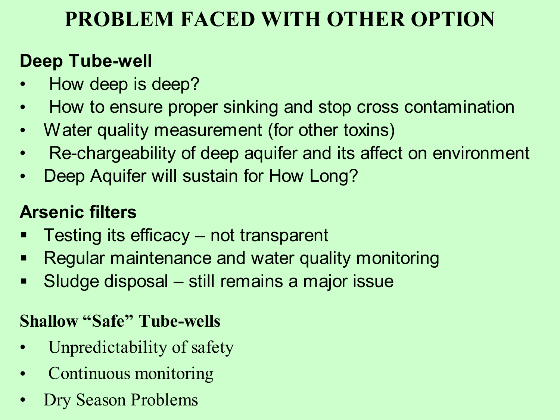# **PROBLEM FACED WITH OTHER OPTION**

#### **Deep Tube-well**

- How deep is deep?
- How to ensure proper sinking and stop cross contamination
- Water quality measurement (for other toxins)
- Re-chargeability of deep aquifer and its affect on environment
- Deep Aquifer will sustain for How Long?

# **Arsenic filters**

- Testing its efficacy not transparent
- **Regular maintenance and water quality monitoring**
- Sludge disposal still remains a major issue

#### **Shallow "Safe" Tube-wells**

- Unpredictability of safety
- Continuous monitoring
- Dry Season Problems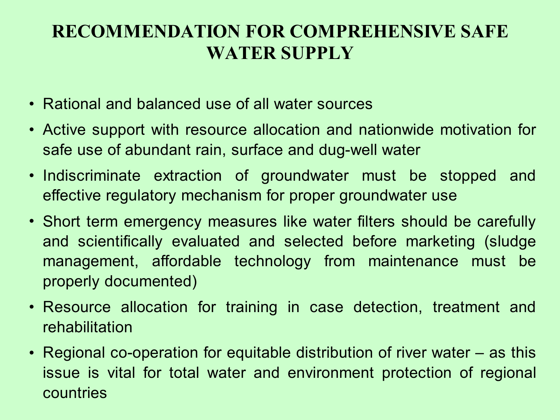#### **RECOMMENDATION FOR COMPREHENSIVE SAFE WATER SUPPLY**

- Rational and balanced use of all water sources
- Active support with resource allocation and nationwide motivation for safe use of abundant rain, surface and dug-well water
- Indiscriminate extraction of groundwater must be stopped and effective regulatory mechanism for proper groundwater use
- Short term emergency measures like water filters should be carefully and scientifically evaluated and selected before marketing (sludge management, affordable technology from maintenance must be properly documented)
- Resource allocation for training in case detection, treatment and rehabilitation
- Regional co-operation for equitable distribution of river water as this issue is vital for total water and environment protection of regional countries